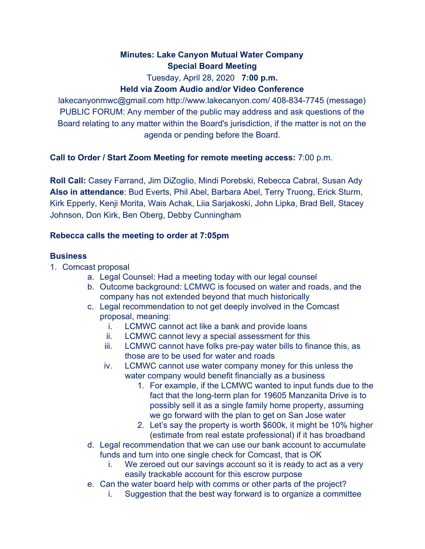# **Minutes: Lake Canyon Mutual Water Company Special Board Meeting**

Tuesday, April 28, 2020 **7:00 p.m.**

# **Held via Zoom Audio and/or Video Conference**

lakecanyonmwc@gmail.com http://www.lakecanyon.com/ 408-834-7745 (message) PUBLIC FORUM: Any member of the public may address and ask questions of the Board relating to any matter within the Board's jurisdiction, if the matter is not on the agenda or pending before the Board.

## **Call to Order / Start Zoom Meeting for remote meeting access:** 7:00 p.m.

**Roll Call:** Casey Farrand, Jim DiZoglio, Mindi Porebski, Rebecca Cabral, Susan Ady **Also in attendance**: Bud Everts, Phil Abel, Barbara Abel, Terry Truong, Erick Sturm, Kirk Epperly, Kenji Morita, Wais Achak, Liia Sarjakoski, John Lipka, Brad Bell, Stacey Johnson, Don Kirk, Ben Oberg, Debby Cunningham

## **Rebecca calls the meeting to order at 7:05pm**

## **Business**

- 1. Comcast proposal
	- a. Legal Counsel: Had a meeting today with our legal counsel
	- b. Outcome background: LCMWC is focused on water and roads, and the company has not extended beyond that much historically
	- c. Legal recommendation to not get deeply involved in the Comcast proposal, meaning:
		- i. LCMWC cannot act like a bank and provide loans
		- ii. LCMWC cannot levy a special assessment for this
		- iii. LCMWC cannot have folks pre-pay water bills to finance this, as those are to be used for water and roads
		- iv. LCMWC cannot use water company money for this unless the water company would benefit financially as a business
			- 1. For example, if the LCMWC wanted to input funds due to the fact that the long-term plan for 19605 Manzanita Drive is to possibly sell it as a single family home property, assuming we go forward with the plan to get on San Jose water
			- 2. Let's say the property is worth \$600k, it might be 10% higher (estimate from real estate professional) if it has broadband
	- d. Legal recommendation that we can use our bank account to accumulate funds and turn into one single check for Comcast, that is OK
		- i. We zeroed out our savings account so it is ready to act as a very easily trackable account for this escrow purpose
	- e. Can the water board help with comms or other parts of the project?
		- i. Suggestion that the best way forward is to organize a committee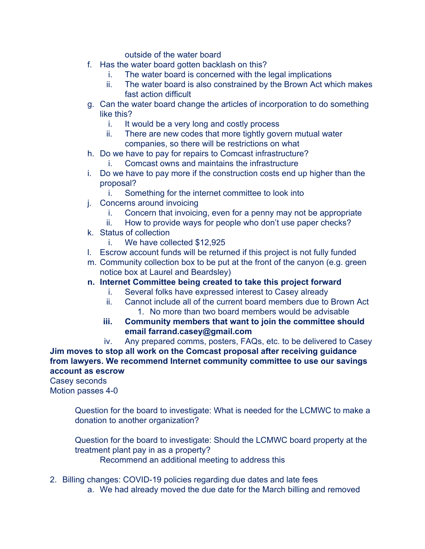outside of the water board

- f. Has the water board gotten backlash on this?
	- i. The water board is concerned with the legal implications
	- ii. The water board is also constrained by the Brown Act which makes fast action difficult
- g. Can the water board change the articles of incorporation to do something like this?
	- i. It would be a very long and costly process
	- ii. There are new codes that more tightly govern mutual water companies, so there will be restrictions on what
- h. Do we have to pay for repairs to Comcast infrastructure?
	- i. Comcast owns and maintains the infrastructure
- i. Do we have to pay more if the construction costs end up higher than the proposal?
	- i. Something for the internet committee to look into
- j. Concerns around invoicing
	- i. Concern that invoicing, even for a penny may not be appropriate
	- ii. How to provide ways for people who don't use paper checks?
- k. Status of collection
	- i. We have collected \$12,925
- l. Escrow account funds will be returned if this project is not fully funded
- m. Community collection box to be put at the front of the canyon (e.g. green notice box at Laurel and Beardsley)
- **n. Internet Committee being created to take this project forward**
	- i. Several folks have expressed interest to Casey already
	- ii. Cannot include all of the current board members due to Brown Act 1. No more than two board members would be advisable
	- **iii. Community members that want to join the committee should email farrand.casey@gmail.com**

iv. Any prepared comms, posters, FAQs, etc. to be delivered to Casey **Jim moves to stop all work on the Comcast proposal after receiving guidance from lawyers. We recommend Internet community committee to use our savings account as escrow**

Casey seconds Motion passes 4-0

> Question for the board to investigate: What is needed for the LCMWC to make a donation to another organization?

> Question for the board to investigate: Should the LCMWC board property at the treatment plant pay in as a property? Recommend an additional meeting to address this

- 2. Billing changes: COVID-19 policies regarding due dates and late fees
	- a. We had already moved the due date for the March billing and removed